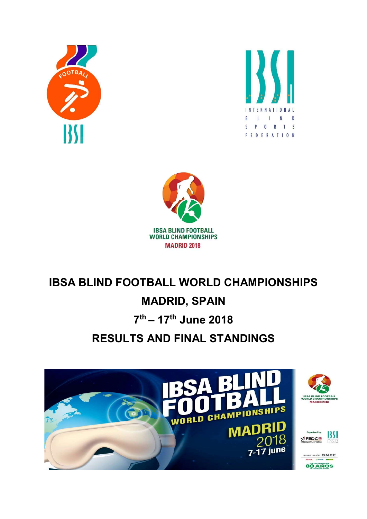





# IBSA BLIND FOOTBALL WORLD CHAMPIONSHIPS

# MADRID, SPAIN

# 7<sup>th</sup> – 17<sup>th</sup> June 2018

# RESULTS AND FINAL STANDINGS

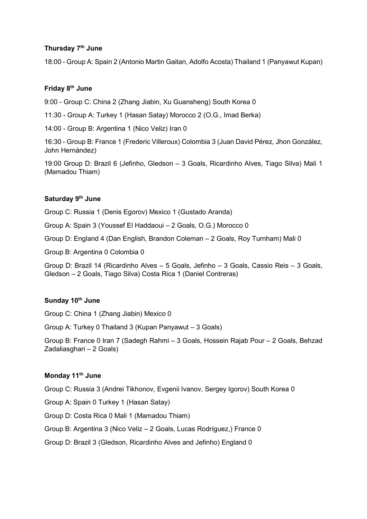## Thursday 7<sup>th</sup> June

18:00 - Group A: Spain 2 (Antonio Martin Gaitan, Adolfo Acosta) Thailand 1 (Panyawut Kupan)

## Friday 8<sup>th</sup> June

9:00 - Group C: China 2 (Zhang Jiabin, Xu Guansheng) South Korea 0

11:30 - Group A: Turkey 1 (Hasan Satay) Morocco 2 (O.G., Imad Berka)

14:00 - Group B: Argentina 1 (Nico Veliz) Iran 0

16:30 - Group B: France 1 (Frederic Villeroux) Colombia 3 (Juan David Pérez, Jhon González, John Hernández)

19:00 Group D: Brazil 6 (Jefinho, Gledson – 3 Goals, Ricardinho Alves, Tiago Silva) Mali 1 (Mamadou Thiam)

### Saturday 9<sup>th</sup> June

Group C: Russia 1 (Denis Egorov) Mexico 1 (Gustado Aranda)

Group A: Spain 3 (Youssef El Haddaoui – 2 Goals, O.G.) Morocco 0

Group D: England 4 (Dan English, Brandon Coleman – 2 Goals, Roy Turnham) Mali 0

Group B: Argentina 0 Colombia 0

Group D: Brazil 14 (Ricardinho Alves – 5 Goals, Jefinho – 3 Goals, Cassio Reis – 3 Goals, Gledson – 2 Goals, Tiago Silva) Costa Rica 1 (Daniel Contreras)

## Sunday 10<sup>th</sup> June

Group C: China 1 (Zhang Jiabin) Mexico 0

Group A: Turkey 0 Thailand 3 (Kupan Panyawut – 3 Goals)

Group B: France 0 Iran 7 (Sadegh Rahmi – 3 Goals, Hossein Rajab Pour – 2 Goals, Behzad Zadaliasghari – 2 Goals)

#### Monday 11<sup>th</sup> June

Group C: Russia 3 (Andrei Tikhonov, Evgenii Ivanov, Sergey Igorov) South Korea 0

Group A: Spain 0 Turkey 1 (Hasan Satay)

Group D: Costa Rica 0 Mali 1 (Mamadou Thiam)

Group B: Argentina 3 (Nico Veliz – 2 Goals, Lucas Rodríguez,) France 0

Group D: Brazil 3 (Gledson, Ricardinho Alves and Jefinho) England 0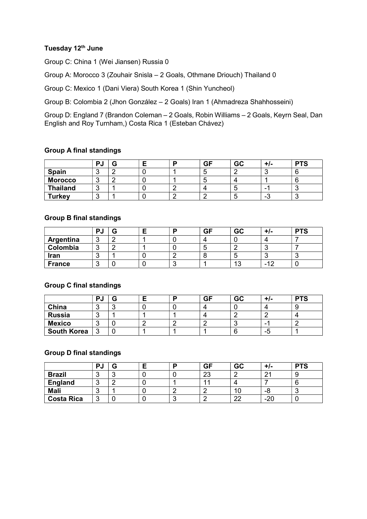## Tuesday 12<sup>th</sup> June

Group C: China 1 (Wei Jiansen) Russia 0

Group A: Morocco 3 (Zouhair Snisla – 2 Goals, Othmane Driouch) Thailand 0

Group C: Mexico 1 (Dani Viera) South Korea 1 (Shin Yuncheol)

Group B: Colombia 2 (Jhon González – 2 Goals) Iran 1 (Ahmadreza Shahhosseini)

Group D: England 7 (Brandon Coleman – 2 Goals, Robin Williams – 2 Goals, Keyrn Seal, Dan English and Roy Turnham,) Costa Rica 1 (Esteban Chávez)

## Group A final standings

|                 | PJ | э |  | <b>GF</b> | GC | TL | <b>PTS</b> |
|-----------------|----|---|--|-----------|----|----|------------|
| <b>Spain</b>    |    |   |  | ັ         |    |    |            |
| <b>Morocco</b>  |    |   |  |           |    |    |            |
| <b>Thailand</b> |    |   |  |           | ., | -  | -          |
| <b>Turkey</b>   |    |   |  |           | ີ  | -0 | ∽<br>ີ     |

## Group B final standings

|               | PJ |            | в | <b>GF</b> | GC                        | +/-    | <b>PTS</b> |
|---------------|----|------------|---|-----------|---------------------------|--------|------------|
| Argentina     |    | $\sqrt{2}$ |   |           |                           |        |            |
| Colombia      |    | ╭          |   |           |                           |        |            |
| Iran          |    |            |   |           | w                         |        | ∼          |
| <b>France</b> |    |            |   |           | $\Lambda$ $\Omega$<br>ں ، | $\sim$ | ີ          |

## Group C final standings

|                    | PJ |        |  | <b>GF</b> | GC | T/- | <b>PTS</b> |
|--------------------|----|--------|--|-----------|----|-----|------------|
| China              |    | ╭<br>∼ |  |           |    |     |            |
| <b>Russia</b>      | ີ  |        |  |           |    |     | д          |
| <b>Mexico</b>      |    |        |  |           |    | -   |            |
| <b>South Korea</b> | ્ર |        |  |           |    | -5  |            |

## Group D final standings

|                   | PJ |        |  | GF       | GC       | $+1-$ | <b>PTS</b> |
|-------------------|----|--------|--|----------|----------|-------|------------|
| <b>Brazil</b>     |    | ◠<br>v |  | ററ<br>دے |          | n.    |            |
| England           |    | ╭      |  |          |          |       |            |
| <b>Mali</b>       |    |        |  |          |          | -8    | u          |
| <b>Costa Rica</b> | ◠  |        |  |          | nn<br>__ | $-20$ |            |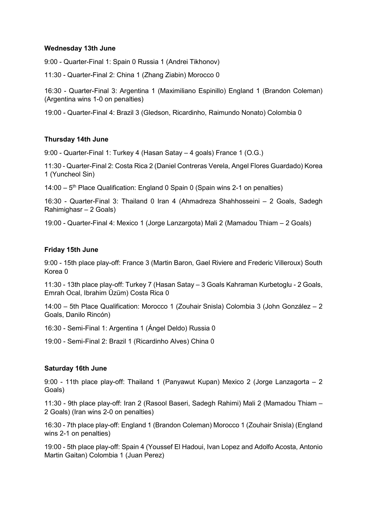## Wednesday 13th June

9:00 - Quarter-Final 1: Spain 0 Russia 1 (Andrei Tikhonov)

11:30 - Quarter-Final 2: China 1 (Zhang Ziabin) Morocco 0

16:30 - Quarter-Final 3: Argentina 1 (Maximiliano Espinillo) England 1 (Brandon Coleman) (Argentina wins 1-0 on penalties)

19:00 - Quarter-Final 4: Brazil 3 (Gledson, Ricardinho, Raimundo Nonato) Colombia 0

### Thursday 14th June

9:00 - Quarter-Final 1: Turkey 4 (Hasan Satay – 4 goals) France 1 (O.G.)

11:30 - Quarter-Final 2: Costa Rica 2 (Daniel Contreras Verela, Angel Flores Guardado) Korea 1 (Yuncheol Sin)

14:00 –  $5<sup>th</sup>$  Place Qualification: England 0 Spain 0 (Spain wins 2-1 on penalties)

16:30 - Quarter-Final 3: Thailand 0 Iran 4 (Ahmadreza Shahhosseini – 2 Goals, Sadegh Rahimighasr – 2 Goals)

19:00 - Quarter-Final 4: Mexico 1 (Jorge Lanzargota) Mali 2 (Mamadou Thiam – 2 Goals)

### Friday 15th June

9:00 - 15th place play-off: France 3 (Martin Baron, Gael Riviere and Frederic Villeroux) South Korea 0

11:30 - 13th place play-off: Turkey 7 (Hasan Satay – 3 Goals Kahraman Kurbetoglu - 2 Goals, Emrah Ocal, Ibrahim Üzüm) Costa Rica 0

14:00 – 5th Place Qualification: Morocco 1 (Zouhair Snisla) Colombia 3 (John González – 2 Goals, Danilo Rincón)

16:30 - Semi-Final 1: Argentina 1 (Ángel Deldo) Russia 0

19:00 - Semi-Final 2: Brazil 1 (Ricardinho Alves) China 0

## Saturday 16th June

9:00 - 11th place play-off: Thailand 1 (Panyawut Kupan) Mexico 2 (Jorge Lanzagorta – 2 Goals)

11:30 - 9th place play-off: Iran 2 (Rasool Baseri, Sadegh Rahimi) Mali 2 (Mamadou Thiam – 2 Goals) (Iran wins 2-0 on penalties)

16:30 - 7th place play-off: England 1 (Brandon Coleman) Morocco 1 (Zouhair Snisla) (England wins 2-1 on penalties)

19:00 - 5th place play-off: Spain 4 (Youssef El Hadoui, Ivan Lopez and Adolfo Acosta, Antonio Martin Gaitan) Colombia 1 (Juan Perez)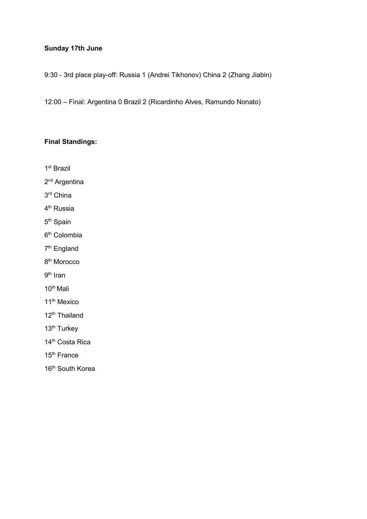## Sunday 17th June

9:30 - 3rd place play-off: Russia 1 (Andrei Tikhonov) China 2 (Zhang Jiabin)

12:00 – Final: Argentina 0 Brazil 2 (Ricardinho Alves, Ramundo Nonato)

## Final Standings:

1 st Brazil

2<sup>nd</sup> Argentina

3 rd China

4<sup>th</sup> Russia

5<sup>th</sup> Spain

6 th Colombia

7<sup>th</sup> England

8<sup>th</sup> Morocco

9<sup>th</sup> Iran

10th Mali

11<sup>th</sup> Mexico

12<sup>th</sup> Thailand

13<sup>th</sup> Turkey

14<sup>th</sup> Costa Rica

15th France

16<sup>th</sup> South Korea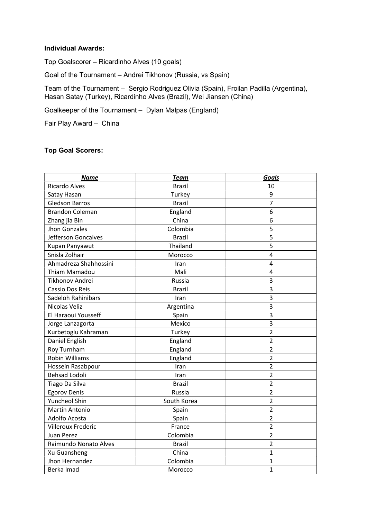#### Individual Awards:

Top Goalscorer – Ricardinho Alves (10 goals)

Goal of the Tournament – Andrei Tikhonov (Russia, vs Spain)

Team of the Tournament – Sergio Rodriguez Olivia (Spain), Froilan Padilla (Argentina), Hasan Satay (Turkey), Ricardinho Alves (Brazil), Wei Jiansen (China)

Goalkeeper of the Tournament – Dylan Malpas (England)

Fair Play Award – China

## Top Goal Scorers:

| <b>Name</b>               | <b>Team</b>   | <b>Goals</b>   |
|---------------------------|---------------|----------------|
| <b>Ricardo Alves</b>      | <b>Brazil</b> | 10             |
| Satay Hasan               | Turkey        | 9              |
| <b>Gledson Barros</b>     | <b>Brazil</b> | $\overline{7}$ |
| <b>Brandon Coleman</b>    | England       | 6              |
| Zhang jia Bin             | China         | 6              |
| <b>Jhon Gonzales</b>      | Colombia      | 5              |
| Jefferson Goncalves       | <b>Brazil</b> | 5              |
| Kupan Panyawut            | Thailand      | 5              |
| Snisla Zolhair            | Morocco       | 4              |
| Ahmadreza Shahhossini     | Iran          | $\overline{4}$ |
| Thiam Mamadou             | Mali          | $\overline{4}$ |
| Tikhonov Andrei           | Russia        | 3              |
| Cassio Dos Reis           | <b>Brazil</b> | 3              |
| Sadeloh Rahinibars        | Iran          | 3              |
| Nicolas Veliz             | Argentina     | 3              |
| El Haraoui Yousseff       | Spain         | 3              |
| Jorge Lanzagorta          | Mexico        | 3              |
| Kurbetoglu Kahraman       | Turkey        | $\overline{2}$ |
| Daniel English            | England       | $\overline{2}$ |
| Roy Turnham               | England       | $\overline{2}$ |
| <b>Robin Williams</b>     | England       | $\overline{2}$ |
| Hossein Rasabpour         | Iran          | $\overline{2}$ |
| <b>Behsad Lodoli</b>      | Iran          | $\overline{2}$ |
| Tiago Da Silva            | <b>Brazil</b> | $\overline{2}$ |
| <b>Egorov Denis</b>       | Russia        | $\overline{2}$ |
| <b>Yuncheol Shin</b>      | South Korea   | $\overline{2}$ |
| <b>Martin Antonio</b>     | Spain         | $\overline{2}$ |
| Adolfo Acosta             | Spain         | $\overline{2}$ |
| <b>Villeroux Frederic</b> | France        | $\overline{2}$ |
| Juan Perez                | Colombia      | $\overline{2}$ |
| Raimundo Nonato Alves     | <b>Brazil</b> | $\overline{2}$ |
| Xu Guansheng              | China         | $\mathbf{1}$   |
| Jhon Hernandez            | Colombia      | 1              |
| Berka Imad                | Morocco       | $\mathbf{1}$   |